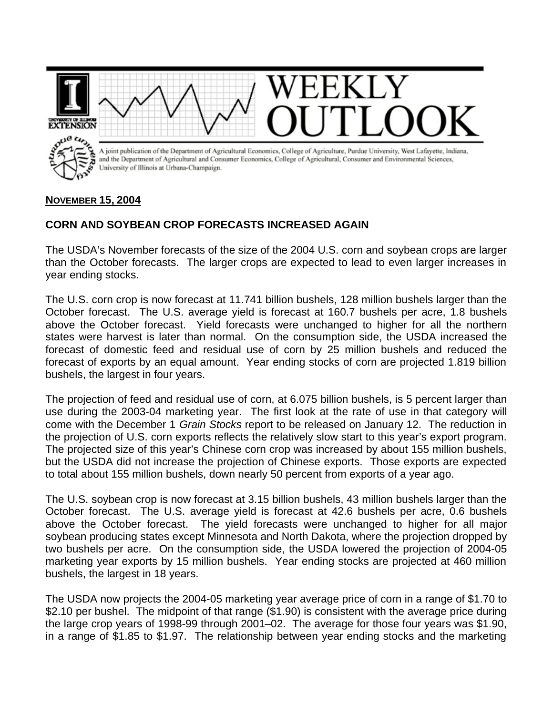

## **NOVEMBER 15, 2004**

## **CORN AND SOYBEAN CROP FORECASTS INCREASED AGAIN**

The USDA's November forecasts of the size of the 2004 U.S. corn and soybean crops are larger than the October forecasts. The larger crops are expected to lead to even larger increases in year ending stocks.

The U.S. corn crop is now forecast at 11.741 billion bushels, 128 million bushels larger than the October forecast. The U.S. average yield is forecast at 160.7 bushels per acre, 1.8 bushels above the October forecast. Yield forecasts were unchanged to higher for all the northern states were harvest is later than normal. On the consumption side, the USDA increased the forecast of domestic feed and residual use of corn by 25 million bushels and reduced the forecast of exports by an equal amount. Year ending stocks of corn are projected 1.819 billion bushels, the largest in four years.

The projection of feed and residual use of corn, at 6.075 billion bushels, is 5 percent larger than use during the 2003-04 marketing year. The first look at the rate of use in that category will come with the December 1 *Grain Stocks* report to be released on January 12. The reduction in the projection of U.S. corn exports reflects the relatively slow start to this year's export program. The projected size of this year's Chinese corn crop was increased by about 155 million bushels, but the USDA did not increase the projection of Chinese exports. Those exports are expected to total about 155 million bushels, down nearly 50 percent from exports of a year ago.

The U.S. soybean crop is now forecast at 3.15 billion bushels, 43 million bushels larger than the October forecast. The U.S. average yield is forecast at 42.6 bushels per acre, 0.6 bushels above the October forecast. The yield forecasts were unchanged to higher for all major soybean producing states except Minnesota and North Dakota, where the projection dropped by two bushels per acre. On the consumption side, the USDA lowered the projection of 2004-05 marketing year exports by 15 million bushels. Year ending stocks are projected at 460 million bushels, the largest in 18 years.

The USDA now projects the 2004-05 marketing year average price of corn in a range of \$1.70 to \$2.10 per bushel. The midpoint of that range (\$1.90) is consistent with the average price during the large crop years of 1998-99 through 2001–02. The average for those four years was \$1.90, in a range of \$1.85 to \$1.97. The relationship between year ending stocks and the marketing